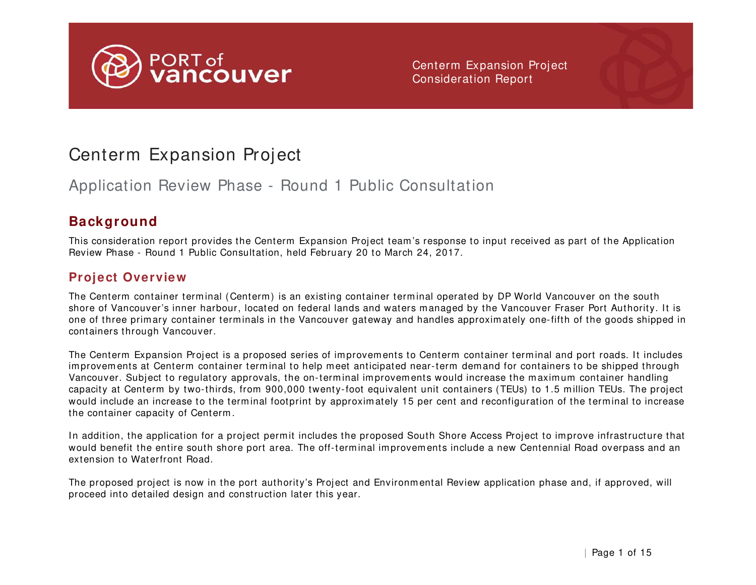

# Centerm Expansion Project

# Application Review Phase - Round 1 Public Consultation

## **Background**

This consideration report provides the Centerm Expansion Project team 's response to input received as part of the Application Review Phase - Round 1 Public Consultation, held February 20 to March 24, 2017.

### **Project Overview**

The Centerm container terminal (Centerm) is an existing container terminal operated by DP World Vancouver on the south shore of Vancouver's inner harbour, located on federal lands and waters m anaged by the Vancouver Fraser Port Authority. It is one of three prim ary container terminals in the Vancouver gateway and handles approximately one-fifth of the goods shipped in containers through Vancouver.

The Centerm Expansion Project is a proposed series of im provem ents to Centerm container term inal and port roads. It includes improvements at Centerm container terminal to help meet anticipated near-term demand for containers to be shipped through Vancouver. Subject to regulatory approvals, the on-terminal improvem ents would increase the maximum container handling capacity at Centerm by two-thirds, from 900,000 twenty-foot equivalent unit containers (TEUs) to 1.5 m illion TEUs. The project would include an increase to the terminal footprint by approximately 15 per cent and reconfiguration of the terminal to increase the container capacity of Centerm .

In addition, the application for a project permit includes the proposed South Shore Access Project to improve infrastructure that would benefit the entire south shore port area. The off-terminal improvements include a new Centennial Road overpass and an extension to Waterfront Road.

The proposed project is now in the port authority's Project and Environm ental Review application phase and, if approved, will proceed into detailed design and construction later this year.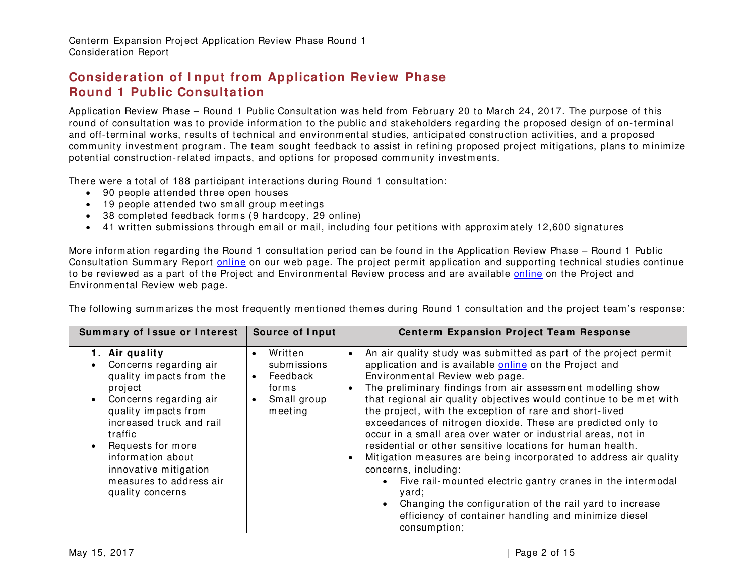Centerm Expansion Project Application Review Phase Round 1 Consideration Report

#### **Consideration of I nput from Application Review Phase Round 1 Public Consultation**

Application Review Phase – Round 1 Public Consultation was held from February 20 to March 24, 2017. The purpose of this round of consultation was to provide information to the public and stakeholders regarding the proposed design of on-term inal and off-terminal works, results of technical and environmental studies, anticipated construction activities, and a proposed community investment program. The team sought feedback to assist in refining proposed project mitigations, plans to minimize potential construction-related impacts, and options for proposed comm unity investments.

There were a total of 188 participant interactions during Round 1 consultation:

- 90 people attended three open houses
- 19 people attended two small group meetings
- 38 completed feedback forms (9 hardcopy, 29 online)
- 41 written submissions through email or mail, including four petitions with approximately 12,600 signatures

More inform ation regarding the Round 1 consultation period can be found in the Application Review Phase – Round 1 Public Consultation Summary Report [online](http://www.portvancouver.com/centermexpansion) on our web page. The project permit application and supporting technical studies continue to be reviewed as a part of the Project and Environmental Review process and are available [online](http://www.portvancouver.com/development-and-permits/status-www.portvancouver.com/development-and-permits/status-of-applications/centerm-expansion-project/.%20%20of-applications/centerm-expansion-project/) on the Project and Environm ental Review web page.

| Summary of Issue or Interest   Source of Input | <b>Centerm Expansion Project Team Response</b> |
|------------------------------------------------|------------------------------------------------|

The following summarizes the most frequently mentioned themes during Round 1 consultation and the project team's response:

|                                                                                                                                                                                                                                                                                                                      | 000100001110001                                                                                              | OCHICIM EXPRIISION I IUJUUL IURIN NUSPONSU                                                                                                                                                                                                                                                                                                                                                                                                                                                                                                                                                                                                                                                                                                                                                                                                                                     |
|----------------------------------------------------------------------------------------------------------------------------------------------------------------------------------------------------------------------------------------------------------------------------------------------------------------------|--------------------------------------------------------------------------------------------------------------|--------------------------------------------------------------------------------------------------------------------------------------------------------------------------------------------------------------------------------------------------------------------------------------------------------------------------------------------------------------------------------------------------------------------------------------------------------------------------------------------------------------------------------------------------------------------------------------------------------------------------------------------------------------------------------------------------------------------------------------------------------------------------------------------------------------------------------------------------------------------------------|
| 1. Air quality<br>Concerns regarding air<br>quality impacts from the<br>project<br>Concerns regarding air<br>$\bullet$<br>quality impacts from<br>increased truck and rail<br>traffic<br>Requests for more<br>$\bullet$<br>information about<br>innovative mitigation<br>measures to address air<br>quality concerns | Written<br>$\bullet$<br>submissions<br>Feedback<br>$\bullet$<br>forms<br>Small group<br>$\bullet$<br>meeting | An air quality study was submitted as part of the project permit<br>$\bullet$<br>application and is available online on the Project and<br>Environmental Review web page.<br>The preliminary findings from air assessment modelling show<br>that regional air quality objectives would continue to be met with<br>the project, with the exception of rare and short-lived<br>exceedances of nitrogen dioxide. These are predicted only to<br>occur in a small area over water or industrial areas, not in<br>residential or other sensitive locations for human health.<br>Mitigation measures are being incorporated to address air quality<br>concerns, including:<br>Five rail-mounted electric gantry cranes in the intermodal<br>yard;<br>Changing the configuration of the rail yard to increase<br>efficiency of container handling and minimize diesel<br>consumption; |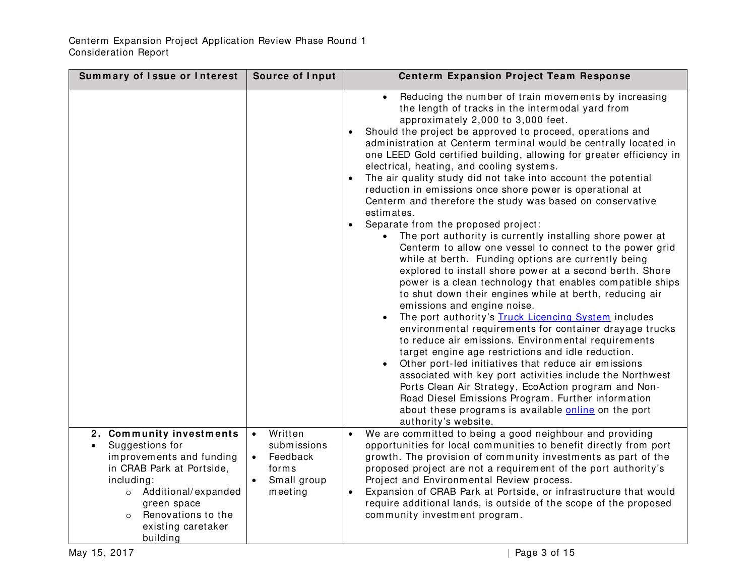| Summary of Issue or Interest                                                                                                                                                                                                               | Source of Input                                                                                 | <b>Centerm Expansion Project Team Response</b>                                                                                                                                                                                                                                                                                                                                                                                                                                                                                                                                                                                                                                                                                                                                                                                                                                                                                                                                                                                                                                                                                                                                                                                                                                                                                                                                                                                                                                                                                                                                                                          |
|--------------------------------------------------------------------------------------------------------------------------------------------------------------------------------------------------------------------------------------------|-------------------------------------------------------------------------------------------------|-------------------------------------------------------------------------------------------------------------------------------------------------------------------------------------------------------------------------------------------------------------------------------------------------------------------------------------------------------------------------------------------------------------------------------------------------------------------------------------------------------------------------------------------------------------------------------------------------------------------------------------------------------------------------------------------------------------------------------------------------------------------------------------------------------------------------------------------------------------------------------------------------------------------------------------------------------------------------------------------------------------------------------------------------------------------------------------------------------------------------------------------------------------------------------------------------------------------------------------------------------------------------------------------------------------------------------------------------------------------------------------------------------------------------------------------------------------------------------------------------------------------------------------------------------------------------------------------------------------------------|
|                                                                                                                                                                                                                                            |                                                                                                 | Reducing the number of train movements by increasing<br>the length of tracks in the intermodal yard from<br>approximately 2,000 to 3,000 feet.<br>Should the project be approved to proceed, operations and<br>administration at Centerm terminal would be centrally located in<br>one LEED Gold certified building, allowing for greater efficiency in<br>electrical, heating, and cooling systems.<br>The air quality study did not take into account the potential<br>reduction in emissions once shore power is operational at<br>Centerm and therefore the study was based on conservative<br>estimates.<br>Separate from the proposed project:<br>The port authority is currently installing shore power at<br>Centerm to allow one vessel to connect to the power grid<br>while at berth. Funding options are currently being<br>explored to install shore power at a second berth. Shore<br>power is a clean technology that enables compatible ships<br>to shut down their engines while at berth, reducing air<br>emissions and engine noise.<br>The port authority's Truck Licencing System includes<br>environmental requirements for container drayage trucks<br>to reduce air emissions. Environmental requirements<br>target engine age restrictions and idle reduction.<br>Other port-led initiatives that reduce air emissions<br>$\bullet$<br>associated with key port activities include the Northwest<br>Ports Clean Air Strategy, EcoAction program and Non-<br>Road Diesel Emissions Program. Further information<br>about these programs is available online on the port<br>authority's website. |
| 2. Community investments<br>Suggestions for<br>$\bullet$<br>improvements and funding<br>in CRAB Park at Portside,<br>including:<br>o Additional/expanded<br>green space<br>Renovations to the<br>$\circ$<br>existing caretaker<br>building | Written<br>$\bullet$<br>submissions<br>Feedback<br>$\bullet$<br>forms<br>Small group<br>meeting | We are committed to being a good neighbour and providing<br>$\bullet$<br>opportunities for local communities to benefit directly from port<br>growth. The provision of community investments as part of the<br>proposed project are not a requirement of the port authority's<br>Project and Environmental Review process.<br>Expansion of CRAB Park at Portside, or infrastructure that would<br>$\bullet$<br>require additional lands, is outside of the scope of the proposed<br>community investment program.                                                                                                                                                                                                                                                                                                                                                                                                                                                                                                                                                                                                                                                                                                                                                                                                                                                                                                                                                                                                                                                                                                       |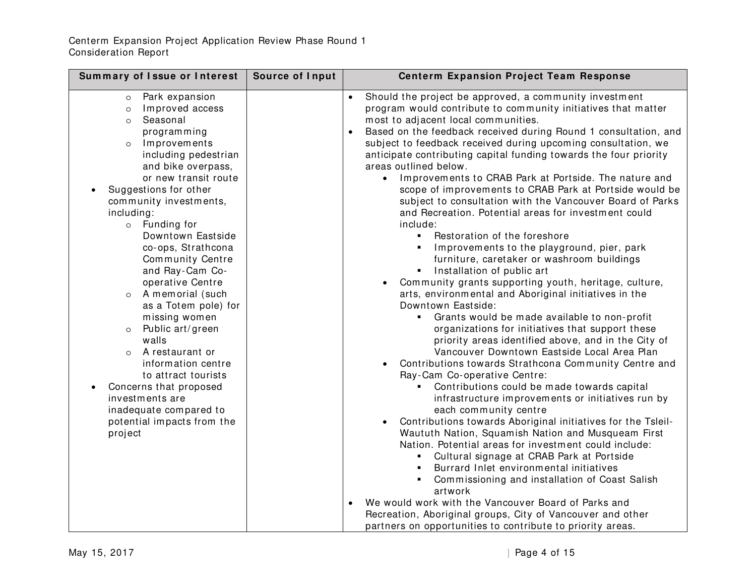| Summary of Issue or Interest                                                                                                                                                                                                                                                                                                                                                                                                                                                                                                                                                                                                                                                                      | Source of Input | <b>Centerm Expansion Project Team Response</b>                                                                                                                                                                                                                                                                                                                                                                                                                                                                                                                                                                                                                                                                                                                                                                                                                                                                                                                                                                                                                                                                                                                                                                                                                                                                                                                                                                                                                                                                                                                                                                                                                                                                                                                                                                                                                                                                                                                                  |
|---------------------------------------------------------------------------------------------------------------------------------------------------------------------------------------------------------------------------------------------------------------------------------------------------------------------------------------------------------------------------------------------------------------------------------------------------------------------------------------------------------------------------------------------------------------------------------------------------------------------------------------------------------------------------------------------------|-----------------|---------------------------------------------------------------------------------------------------------------------------------------------------------------------------------------------------------------------------------------------------------------------------------------------------------------------------------------------------------------------------------------------------------------------------------------------------------------------------------------------------------------------------------------------------------------------------------------------------------------------------------------------------------------------------------------------------------------------------------------------------------------------------------------------------------------------------------------------------------------------------------------------------------------------------------------------------------------------------------------------------------------------------------------------------------------------------------------------------------------------------------------------------------------------------------------------------------------------------------------------------------------------------------------------------------------------------------------------------------------------------------------------------------------------------------------------------------------------------------------------------------------------------------------------------------------------------------------------------------------------------------------------------------------------------------------------------------------------------------------------------------------------------------------------------------------------------------------------------------------------------------------------------------------------------------------------------------------------------------|
| Park expansion<br>$\circ$<br>Improved access<br>$\circ$<br>Seasonal<br>$\circ$<br>programming<br>Improvements<br>$\circ$<br>including pedestrian<br>and bike overpass,<br>or new transit route<br>Suggestions for other<br>community investments,<br>including:<br>o Funding for<br>Downtown Eastside<br>co-ops, Strathcona<br>Community Centre<br>and Ray-Cam Co-<br>operative Centre<br>A memorial (such<br>$\circ$<br>as a Totem pole) for<br>missing women<br>Public art/green<br>$\circ$<br>walls<br>A restaurant or<br>$\circ$<br>information centre<br>to attract tourists<br>Concerns that proposed<br>investments are<br>inadequate compared to<br>potential impacts from the<br>project |                 | Should the project be approved, a community investment<br>$\bullet$<br>program would contribute to community initiatives that matter<br>most to adjacent local communities.<br>Based on the feedback received during Round 1 consultation, and<br>subject to feedback received during upcoming consultation, we<br>anticipate contributing capital funding towards the four priority<br>areas outlined below.<br>• Improvements to CRAB Park at Portside. The nature and<br>scope of improvements to CRAB Park at Portside would be<br>subject to consultation with the Vancouver Board of Parks<br>and Recreation. Potential areas for investment could<br>include:<br>• Restoration of the foreshore<br>Improvements to the playground, pier, park<br>furniture, caretaker or washroom buildings<br>Installation of public art<br>$\blacksquare$<br>Community grants supporting youth, heritage, culture,<br>arts, environmental and Aboriginal initiatives in the<br>Downtown Eastside:<br>Grants would be made available to non-profit<br>organizations for initiatives that support these<br>priority areas identified above, and in the City of<br>Vancouver Downtown Eastside Local Area Plan<br>Contributions towards Strathcona Community Centre and<br>Ray-Cam Co-operative Centre:<br>Contributions could be made towards capital<br>$\blacksquare$<br>infrastructure improvements or initiatives run by<br>each community centre<br>Contributions towards Aboriginal initiatives for the Tsleil-<br>Waututh Nation, Squamish Nation and Musqueam First<br>Nation. Potential areas for investment could include:<br>• Cultural signage at CRAB Park at Portside<br>Burrard Inlet environmental initiatives<br>٠<br>Commissioning and installation of Coast Salish<br>٠<br>artwork<br>We would work with the Vancouver Board of Parks and<br>Recreation, Aboriginal groups, City of Vancouver and other<br>partners on opportunities to contribute to priority areas. |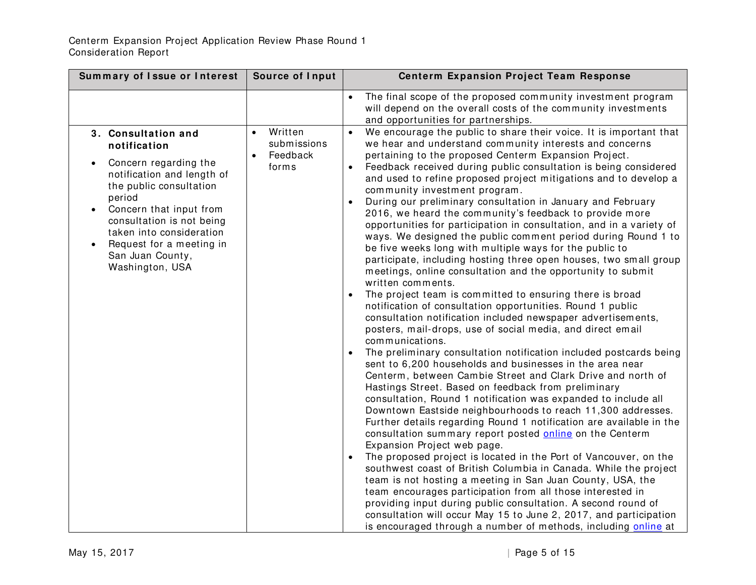| Summary of Issue or Interest                                                                                                                                                                                                                                                 | Source of Input                               | <b>Centerm Expansion Project Team Response</b>                                                                                                                                                                                                                                                                                                                                                                                                                                                                                                                                                                                                                                                                                                                                                                                                                                                                                                                                                                                                                                                                                                                                                                                                                                                                                                                                                                                                                                                                                                                                                                                                                                                                                                                                                                                                                                                                                                                                                                                                                                                     |
|------------------------------------------------------------------------------------------------------------------------------------------------------------------------------------------------------------------------------------------------------------------------------|-----------------------------------------------|----------------------------------------------------------------------------------------------------------------------------------------------------------------------------------------------------------------------------------------------------------------------------------------------------------------------------------------------------------------------------------------------------------------------------------------------------------------------------------------------------------------------------------------------------------------------------------------------------------------------------------------------------------------------------------------------------------------------------------------------------------------------------------------------------------------------------------------------------------------------------------------------------------------------------------------------------------------------------------------------------------------------------------------------------------------------------------------------------------------------------------------------------------------------------------------------------------------------------------------------------------------------------------------------------------------------------------------------------------------------------------------------------------------------------------------------------------------------------------------------------------------------------------------------------------------------------------------------------------------------------------------------------------------------------------------------------------------------------------------------------------------------------------------------------------------------------------------------------------------------------------------------------------------------------------------------------------------------------------------------------------------------------------------------------------------------------------------------------|
| 3. Consultation and                                                                                                                                                                                                                                                          | Written<br>$\bullet$                          | The final scope of the proposed community investment program<br>will depend on the overall costs of the community investments<br>and opportunities for partnerships.<br>We encourage the public to share their voice. It is important that                                                                                                                                                                                                                                                                                                                                                                                                                                                                                                                                                                                                                                                                                                                                                                                                                                                                                                                                                                                                                                                                                                                                                                                                                                                                                                                                                                                                                                                                                                                                                                                                                                                                                                                                                                                                                                                         |
| notification<br>Concern regarding the<br>notification and length of<br>the public consultation<br>period<br>Concern that input from<br>$\bullet$<br>consultation is not being<br>taken into consideration<br>Request for a meeting in<br>San Juan County,<br>Washington, USA | submissions<br>Feedback<br>$\bullet$<br>forms | we hear and understand community interests and concerns<br>pertaining to the proposed Centerm Expansion Project.<br>Feedback received during public consultation is being considered<br>and used to refine proposed project mitigations and to develop a<br>community investment program.<br>During our preliminary consultation in January and February<br>2016, we heard the community's feedback to provide more<br>opportunities for participation in consultation, and in a variety of<br>ways. We designed the public comment period during Round 1 to<br>be five weeks long with multiple ways for the public to<br>participate, including hosting three open houses, two small group<br>meetings, online consultation and the opportunity to submit<br>written comments.<br>The project team is committed to ensuring there is broad<br>notification of consultation opportunities. Round 1 public<br>consultation notification included newspaper advertisements,<br>posters, mail-drops, use of social media, and direct email<br>communications.<br>The preliminary consultation notification included postcards being<br>sent to 6,200 households and businesses in the area near<br>Centerm, between Cambie Street and Clark Drive and north of<br>Hastings Street. Based on feedback from preliminary<br>consultation, Round 1 notification was expanded to include all<br>Downtown Eastside neighbourhoods to reach 11,300 addresses.<br>Further details regarding Round 1 notification are available in the<br>consultation summary report posted online on the Centerm<br>Expansion Project web page.<br>The proposed project is located in the Port of Vancouver, on the<br>southwest coast of British Columbia in Canada. While the project<br>team is not hosting a meeting in San Juan County, USA, the<br>team encourages participation from all those interested in<br>providing input during public consultation. A second round of<br>consultation will occur May 15 to June 2, 2017, and participation<br>is encouraged through a number of methods, including online at |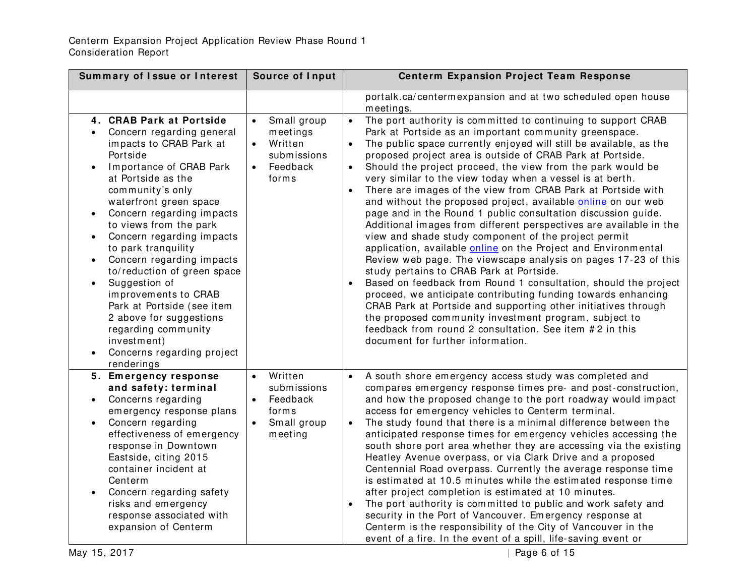| Summary of Issue or Interest                                                                                                                                                                                                                                                                                                                                                                                                                                                                                                                                                                                            | Source of Input                                                                                               | <b>Centerm Expansion Project Team Response</b>                                                                                                                                                                                                                                                                                                                                                                                                                                                                                                                                                                                                                                                                                                                                                                                                                                                                                                                                                                                                                                                                                                                                                                                                                                                                |
|-------------------------------------------------------------------------------------------------------------------------------------------------------------------------------------------------------------------------------------------------------------------------------------------------------------------------------------------------------------------------------------------------------------------------------------------------------------------------------------------------------------------------------------------------------------------------------------------------------------------------|---------------------------------------------------------------------------------------------------------------|---------------------------------------------------------------------------------------------------------------------------------------------------------------------------------------------------------------------------------------------------------------------------------------------------------------------------------------------------------------------------------------------------------------------------------------------------------------------------------------------------------------------------------------------------------------------------------------------------------------------------------------------------------------------------------------------------------------------------------------------------------------------------------------------------------------------------------------------------------------------------------------------------------------------------------------------------------------------------------------------------------------------------------------------------------------------------------------------------------------------------------------------------------------------------------------------------------------------------------------------------------------------------------------------------------------|
|                                                                                                                                                                                                                                                                                                                                                                                                                                                                                                                                                                                                                         |                                                                                                               | portalk.ca/centermexpansion and at two scheduled open house<br>meetings.                                                                                                                                                                                                                                                                                                                                                                                                                                                                                                                                                                                                                                                                                                                                                                                                                                                                                                                                                                                                                                                                                                                                                                                                                                      |
| 4. CRAB Park at Portside<br>Concern regarding general<br>impacts to CRAB Park at<br>Portside<br>Importance of CRAB Park<br>$\bullet$<br>at Portside as the<br>community's only<br>waterfront green space<br>Concern regarding impacts<br>$\bullet$<br>to views from the park<br>Concern regarding impacts<br>$\bullet$<br>to park tranquility<br>Concern regarding impacts<br>to/reduction of green space<br>Suggestion of<br>$\bullet$<br>improvements to CRAB<br>Park at Portside (see item<br>2 above for suggestions<br>regarding community<br>investment)<br>Concerns regarding project<br>$\bullet$<br>renderings | Small group<br>$\bullet$<br>meetings<br>Written<br>$\bullet$<br>submissions<br>Feedback<br>$\bullet$<br>forms | The port authority is committed to continuing to support CRAB<br>$\bullet$<br>Park at Portside as an important community greenspace.<br>The public space currently enjoyed will still be available, as the<br>$\bullet$<br>proposed project area is outside of CRAB Park at Portside.<br>Should the project proceed, the view from the park would be<br>$\bullet$<br>very similar to the view today when a vessel is at berth.<br>There are images of the view from CRAB Park at Portside with<br>and without the proposed project, available online on our web<br>page and in the Round 1 public consultation discussion guide.<br>Additional images from different perspectives are available in the<br>view and shade study component of the project permit<br>application, available online on the Project and Environmental<br>Review web page. The viewscape analysis on pages 17-23 of this<br>study pertains to CRAB Park at Portside.<br>Based on feedback from Round 1 consultation, should the project<br>proceed, we anticipate contributing funding towards enhancing<br>CRAB Park at Portside and supporting other initiatives through<br>the proposed community investment program, subject to<br>feedback from round 2 consultation. See item #2 in this<br>document for further information. |
| 5. Emergency response<br>and safety: terminal<br>Concerns regarding<br>$\bullet$<br>emergency response plans<br>Concern regarding<br>$\bullet$<br>effectiveness of emergency<br>response in Downtown<br>Eastside, citing 2015<br>container incident at<br>Centerm<br>Concern regarding safety<br>$\bullet$<br>risks and emergency<br>response associated with<br>expansion of Centerm                                                                                                                                                                                                                                   | Written<br>$\bullet$<br>submissions<br>Feedback<br>$\bullet$<br>forms<br>Small group<br>meeting               | A south shore emergency access study was completed and<br>compares emergency response times pre- and post-construction,<br>and how the proposed change to the port roadway would impact<br>access for emergency vehicles to Centerm terminal.<br>The study found that there is a minimal difference between the<br>$\bullet$<br>anticipated response times for emergency vehicles accessing the<br>south shore port area whether they are accessing via the existing<br>Heatley Avenue overpass, or via Clark Drive and a proposed<br>Centennial Road overpass. Currently the average response time<br>is estimated at 10.5 minutes while the estimated response time<br>after project completion is estimated at 10 minutes.<br>The port authority is committed to public and work safety and<br>$\bullet$<br>security in the Port of Vancouver. Emergency response at<br>Centerm is the responsibility of the City of Vancouver in the<br>event of a fire. In the event of a spill, life-saving event or                                                                                                                                                                                                                                                                                                    |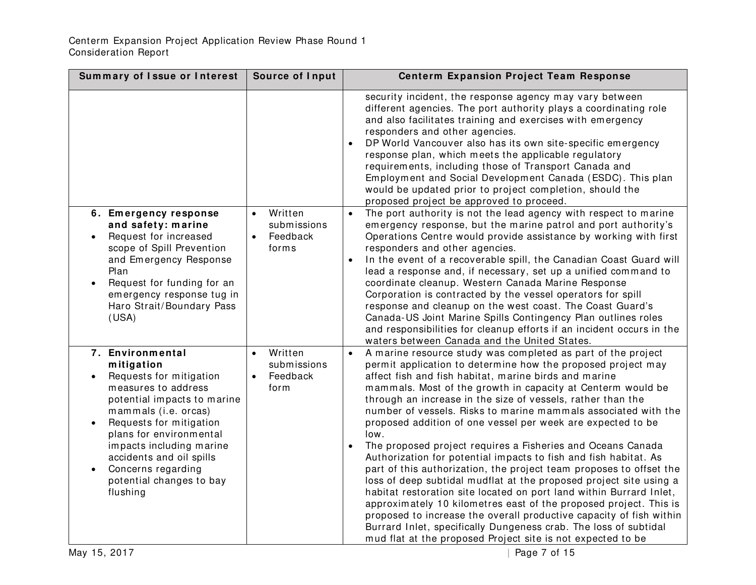| Summary of Issue or Interest                                                                                                                                                                                                                                                                                                        | Source of Input                                                       | <b>Centerm Expansion Project Team Response</b>                                                                                                                                                                                                                                                                                                                                                                                                                                                                                                                                                                                                                                                                                                                                                                                                                                                                                                                                                                                                                                                                                  |
|-------------------------------------------------------------------------------------------------------------------------------------------------------------------------------------------------------------------------------------------------------------------------------------------------------------------------------------|-----------------------------------------------------------------------|---------------------------------------------------------------------------------------------------------------------------------------------------------------------------------------------------------------------------------------------------------------------------------------------------------------------------------------------------------------------------------------------------------------------------------------------------------------------------------------------------------------------------------------------------------------------------------------------------------------------------------------------------------------------------------------------------------------------------------------------------------------------------------------------------------------------------------------------------------------------------------------------------------------------------------------------------------------------------------------------------------------------------------------------------------------------------------------------------------------------------------|
|                                                                                                                                                                                                                                                                                                                                     |                                                                       | security incident, the response agency may vary between<br>different agencies. The port authority plays a coordinating role<br>and also facilitates training and exercises with emergency<br>responders and other agencies.<br>DP World Vancouver also has its own site-specific emergency<br>response plan, which meets the applicable regulatory<br>requirements, including those of Transport Canada and<br>Employment and Social Development Canada (ESDC). This plan<br>would be updated prior to project completion, should the<br>proposed project be approved to proceed.                                                                                                                                                                                                                                                                                                                                                                                                                                                                                                                                               |
| 6. Emergency response<br>and safety: marine<br>Request for increased<br>scope of Spill Prevention<br>and Emergency Response<br>Plan<br>Request for funding for an<br>emergency response tug in<br>Haro Strait/Boundary Pass<br>(USA)                                                                                                | Written<br>$\bullet$<br>submissions<br>Feedback<br>$\bullet$<br>forms | The port authority is not the lead agency with respect to marine<br>emergency response, but the marine patrol and port authority's<br>Operations Centre would provide assistance by working with first<br>responders and other agencies.<br>In the event of a recoverable spill, the Canadian Coast Guard will<br>lead a response and, if necessary, set up a unified command to<br>coordinate cleanup. Western Canada Marine Response<br>Corporation is contracted by the vessel operators for spill<br>response and cleanup on the west coast. The Coast Guard's<br>Canada-US Joint Marine Spills Contingency Plan outlines roles<br>and responsibilities for cleanup efforts if an incident occurs in the<br>waters between Canada and the United States.                                                                                                                                                                                                                                                                                                                                                                    |
| 7. Environmental<br>mitigation<br>Requests for mitigation<br>measures to address<br>potential impacts to marine<br>mammals (i.e. orcas)<br>Requests for mitigation<br>plans for environmental<br>impacts including marine<br>accidents and oil spills<br>Concerns regarding<br>potential changes to bay<br>flushing<br>May 15, 2017 | Written<br>$\bullet$<br>submissions<br>Feedback<br>$\bullet$<br>form  | A marine resource study was completed as part of the project<br>$\bullet$<br>permit application to determine how the proposed project may<br>affect fish and fish habitat, marine birds and marine<br>mammals. Most of the growth in capacity at Centerm would be<br>through an increase in the size of vessels, rather than the<br>number of vessels. Risks to marine mammals associated with the<br>proposed addition of one vessel per week are expected to be<br>low.<br>The proposed project requires a Fisheries and Oceans Canada<br>Authorization for potential impacts to fish and fish habitat. As<br>part of this authorization, the project team proposes to offset the<br>loss of deep subtidal mudflat at the proposed project site using a<br>habitat restoration site located on port land within Burrard Inlet,<br>approximately 10 kilometres east of the proposed project. This is<br>proposed to increase the overall productive capacity of fish within<br>Burrard Inlet, specifically Dungeness crab. The loss of subtidal<br>mud flat at the proposed Project site is not expected to be<br>Page 7 of 15 |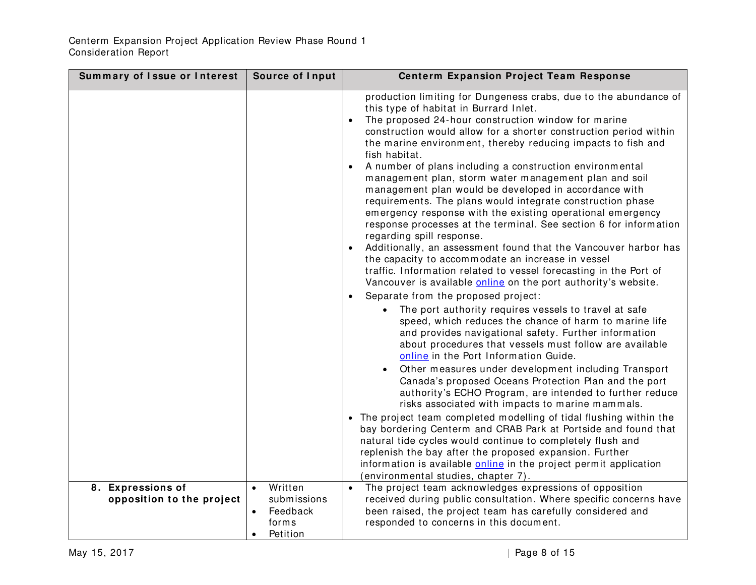| Summary of Issue or Interest | Source of Input       | <b>Centerm Expansion Project Team Response</b>                                                                                                                                                                                                                                                                                                                                                                                                                                                                                                                                                                                                                                                                                                                                                                                                                                                                                                                                                                                                                                                                                                                                                                                                                                                                                                                                                                                                                                                                                                                                                                                                                                                                                                                                                                                                                                                                                                                            |
|------------------------------|-----------------------|---------------------------------------------------------------------------------------------------------------------------------------------------------------------------------------------------------------------------------------------------------------------------------------------------------------------------------------------------------------------------------------------------------------------------------------------------------------------------------------------------------------------------------------------------------------------------------------------------------------------------------------------------------------------------------------------------------------------------------------------------------------------------------------------------------------------------------------------------------------------------------------------------------------------------------------------------------------------------------------------------------------------------------------------------------------------------------------------------------------------------------------------------------------------------------------------------------------------------------------------------------------------------------------------------------------------------------------------------------------------------------------------------------------------------------------------------------------------------------------------------------------------------------------------------------------------------------------------------------------------------------------------------------------------------------------------------------------------------------------------------------------------------------------------------------------------------------------------------------------------------------------------------------------------------------------------------------------------------|
|                              |                       | production limiting for Dungeness crabs, due to the abundance of<br>this type of habitat in Burrard Inlet.<br>The proposed 24-hour construction window for marine<br>construction would allow for a shorter construction period within<br>the marine environment, thereby reducing impacts to fish and<br>fish habitat.<br>A number of plans including a construction environmental<br>$\bullet$<br>management plan, storm water management plan and soil<br>management plan would be developed in accordance with<br>requirements. The plans would integrate construction phase<br>emergency response with the existing operational emergency<br>response processes at the terminal. See section 6 for information<br>regarding spill response.<br>Additionally, an assessment found that the Vancouver harbor has<br>$\bullet$<br>the capacity to accommodate an increase in vessel<br>traffic. Information related to vessel forecasting in the Port of<br>Vancouver is available online on the port authority's website.<br>Separate from the proposed project:<br>The port authority requires vessels to travel at safe<br>speed, which reduces the chance of harm to marine life<br>and provides navigational safety. Further information<br>about procedures that vessels must follow are available<br>online in the Port Information Guide.<br>Other measures under development including Transport<br>Canada's proposed Oceans Protection Plan and the port<br>authority's ECHO Program, are intended to further reduce<br>risks associated with impacts to marine mammals.<br>• The project team completed modelling of tidal flushing within the<br>bay bordering Centerm and CRAB Park at Portside and found that<br>natural tide cycles would continue to completely flush and<br>replenish the bay after the proposed expansion. Further<br>information is available <b>online</b> in the project permit application<br>(environmental studies, chapter 7). |
| 8. Expressions of            | Written               | The project team acknowledges expressions of opposition<br>$\bullet$                                                                                                                                                                                                                                                                                                                                                                                                                                                                                                                                                                                                                                                                                                                                                                                                                                                                                                                                                                                                                                                                                                                                                                                                                                                                                                                                                                                                                                                                                                                                                                                                                                                                                                                                                                                                                                                                                                      |
| opposition to the project    | submissions           | received during public consultation. Where specific concerns have                                                                                                                                                                                                                                                                                                                                                                                                                                                                                                                                                                                                                                                                                                                                                                                                                                                                                                                                                                                                                                                                                                                                                                                                                                                                                                                                                                                                                                                                                                                                                                                                                                                                                                                                                                                                                                                                                                         |
|                              | Feedback<br>$\bullet$ | been raised, the project team has carefully considered and                                                                                                                                                                                                                                                                                                                                                                                                                                                                                                                                                                                                                                                                                                                                                                                                                                                                                                                                                                                                                                                                                                                                                                                                                                                                                                                                                                                                                                                                                                                                                                                                                                                                                                                                                                                                                                                                                                                |
|                              | forms                 | responded to concerns in this document.                                                                                                                                                                                                                                                                                                                                                                                                                                                                                                                                                                                                                                                                                                                                                                                                                                                                                                                                                                                                                                                                                                                                                                                                                                                                                                                                                                                                                                                                                                                                                                                                                                                                                                                                                                                                                                                                                                                                   |
|                              | Petition<br>$\bullet$ |                                                                                                                                                                                                                                                                                                                                                                                                                                                                                                                                                                                                                                                                                                                                                                                                                                                                                                                                                                                                                                                                                                                                                                                                                                                                                                                                                                                                                                                                                                                                                                                                                                                                                                                                                                                                                                                                                                                                                                           |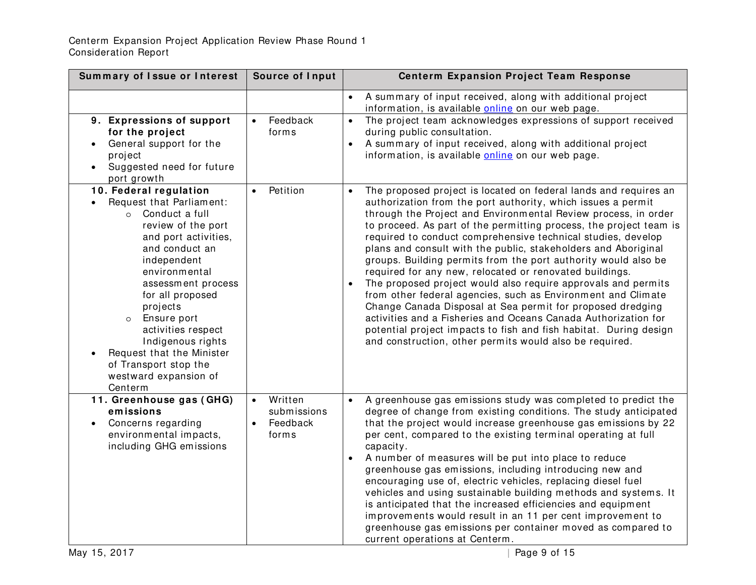#### Centerm Expansion Project Application Review Phase Round 1 Consideration Report

| Summary of Issue or Interest                                                                                                                                                                                                                                                                                                                                                                | Source of Input                                                       | <b>Centerm Expansion Project Team Response</b>                                                                                                                                                                                                                                                                                                                                                                                                                                                                                                                                                                                                                                                                                                                                                                                                                                                                                           |
|---------------------------------------------------------------------------------------------------------------------------------------------------------------------------------------------------------------------------------------------------------------------------------------------------------------------------------------------------------------------------------------------|-----------------------------------------------------------------------|------------------------------------------------------------------------------------------------------------------------------------------------------------------------------------------------------------------------------------------------------------------------------------------------------------------------------------------------------------------------------------------------------------------------------------------------------------------------------------------------------------------------------------------------------------------------------------------------------------------------------------------------------------------------------------------------------------------------------------------------------------------------------------------------------------------------------------------------------------------------------------------------------------------------------------------|
| 9. Expressions of support<br>for the project<br>General support for the<br>project<br>Suggested need for future<br>port growth                                                                                                                                                                                                                                                              | Feedback<br>$\bullet$<br>forms                                        | A summary of input received, along with additional project<br>$\bullet$<br>information, is available <b>online</b> on our web page.<br>The project team acknowledges expressions of support received<br>during public consultation.<br>A summary of input received, along with additional project<br>information, is available <b>online</b> on our web page.                                                                                                                                                                                                                                                                                                                                                                                                                                                                                                                                                                            |
| 10. Federal regulation<br>Request that Parliament:<br>o Conduct a full<br>review of the port<br>and port activities,<br>and conduct an<br>independent<br>environmental<br>assessment process<br>for all proposed<br>projects<br>Ensure port<br>$\circ$<br>activities respect<br>Indigenous rights<br>Request that the Minister<br>of Transport stop the<br>westward expansion of<br>Centerm | Petition<br>$\bullet$                                                 | The proposed project is located on federal lands and requires an<br>authorization from the port authority, which issues a permit<br>through the Project and Environmental Review process, in order<br>to proceed. As part of the permitting process, the project team is<br>required to conduct comprehensive technical studies, develop<br>plans and consult with the public, stakeholders and Aboriginal<br>groups. Building permits from the port authority would also be<br>required for any new, relocated or renovated buildings.<br>The proposed project would also require approvals and permits<br>from other federal agencies, such as Environment and Climate<br>Change Canada Disposal at Sea permit for proposed dredging<br>activities and a Fisheries and Oceans Canada Authorization for<br>potential project impacts to fish and fish habitat. During design<br>and construction, other permits would also be required. |
| 11. Greenhouse gas (GHG)<br>emissions<br>Concerns regarding<br>environmental impacts,<br>including GHG emissions                                                                                                                                                                                                                                                                            | Written<br>$\bullet$<br>submissions<br>Feedback<br>$\bullet$<br>forms | A greenhouse gas emissions study was completed to predict the<br>degree of change from existing conditions. The study anticipated<br>that the project would increase greenhouse gas emissions by 22<br>per cent, compared to the existing terminal operating at full<br>capacity.<br>A number of measures will be put into place to reduce<br>greenhouse gas emissions, including introducing new and<br>encouraging use of, electric vehicles, replacing diesel fuel<br>vehicles and using sustainable building methods and systems. It<br>is anticipated that the increased efficiencies and equipment<br>improvements would result in an 11 per cent improvement to<br>greenhouse gas emissions per container moved as compared to<br>current operations at Centerm.                                                                                                                                                                  |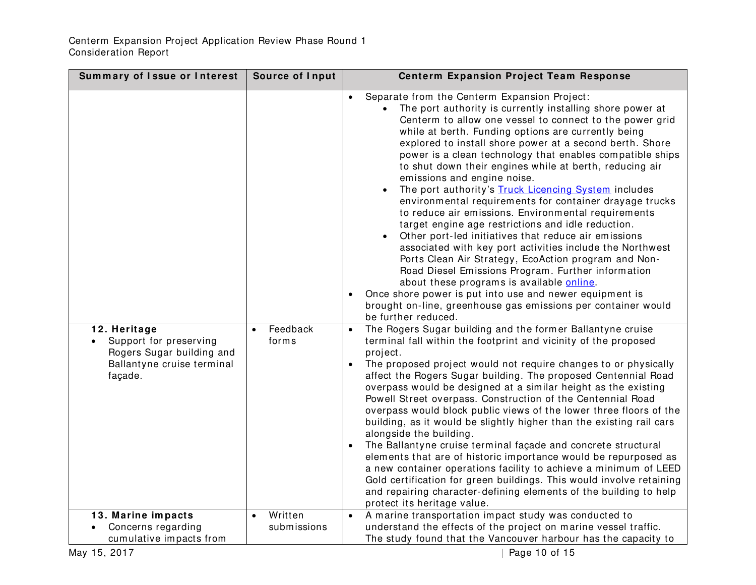| Separate from the Centerm Expansion Project:<br>The port authority is currently installing shore power at<br>Centerm to allow one vessel to connect to the power grid<br>while at berth. Funding options are currently being<br>explored to install shore power at a second berth. Shore<br>power is a clean technology that enables compatible ships<br>to shut down their engines while at berth, reducing air<br>emissions and engine noise.<br>The port authority's Truck Licencing System includes<br>environmental requirements for container drayage trucks<br>to reduce air emissions. Environmental requirements<br>target engine age restrictions and idle reduction.<br>Other port-led initiatives that reduce air emissions<br>$\bullet$<br>associated with key port activities include the Northwest<br>Ports Clean Air Strategy, EcoAction program and Non-<br>Road Diesel Emissions Program. Further information<br>about these programs is available online.<br>Once shore power is put into use and newer equipment is<br>brought on-line, greenhouse gas emissions per container would<br>be further reduced.<br>The Rogers Sugar building and the former Ballantyne cruise<br>Feedback<br>12. Heritage<br>$\bullet$<br>Support for preserving<br>terminal fall within the footprint and vicinity of the proposed<br>forms<br>Rogers Sugar building and<br>project.<br>Ballantyne cruise terminal<br>The proposed project would not require changes to or physically<br>affect the Rogers Sugar building. The proposed Centennial Road<br>façade.<br>overpass would be designed at a similar height as the existing<br>Powell Street overpass. Construction of the Centennial Road<br>overpass would block public views of the lower three floors of the<br>building, as it would be slightly higher than the existing rail cars<br>alongside the building.<br>The Ballantyne cruise terminal façade and concrete structural<br>elements that are of historic importance would be repurposed as<br>a new container operations facility to achieve a minimum of LEED<br>Gold certification for green buildings. This would involve retaining<br>and repairing character-defining elements of the building to help<br>protect its heritage value.<br>Written<br>A marine transportation impact study was conducted to<br>13. Marine impacts<br>$\bullet$<br>$\bullet$<br>understand the effects of the project on marine vessel traffic.<br>Concerns regarding<br>submissions<br>cumulative impacts from<br>The study found that the Vancouver harbour has the capacity to | Summary of Issue or Interest | Source of Input | <b>Centerm Expansion Project Team Response</b> |
|--------------------------------------------------------------------------------------------------------------------------------------------------------------------------------------------------------------------------------------------------------------------------------------------------------------------------------------------------------------------------------------------------------------------------------------------------------------------------------------------------------------------------------------------------------------------------------------------------------------------------------------------------------------------------------------------------------------------------------------------------------------------------------------------------------------------------------------------------------------------------------------------------------------------------------------------------------------------------------------------------------------------------------------------------------------------------------------------------------------------------------------------------------------------------------------------------------------------------------------------------------------------------------------------------------------------------------------------------------------------------------------------------------------------------------------------------------------------------------------------------------------------------------------------------------------------------------------------------------------------------------------------------------------------------------------------------------------------------------------------------------------------------------------------------------------------------------------------------------------------------------------------------------------------------------------------------------------------------------------------------------------------------------------------------------------------------------------------------------------------------------------------------------------------------------------------------------------------------------------------------------------------------------------------------------------------------------------------------------------------------------------------------------------------------------------------------------------------------------------------------------------------------------------------------------------------------------------------|------------------------------|-----------------|------------------------------------------------|
|                                                                                                                                                                                                                                                                                                                                                                                                                                                                                                                                                                                                                                                                                                                                                                                                                                                                                                                                                                                                                                                                                                                                                                                                                                                                                                                                                                                                                                                                                                                                                                                                                                                                                                                                                                                                                                                                                                                                                                                                                                                                                                                                                                                                                                                                                                                                                                                                                                                                                                                                                                                            |                              |                 |                                                |
|                                                                                                                                                                                                                                                                                                                                                                                                                                                                                                                                                                                                                                                                                                                                                                                                                                                                                                                                                                                                                                                                                                                                                                                                                                                                                                                                                                                                                                                                                                                                                                                                                                                                                                                                                                                                                                                                                                                                                                                                                                                                                                                                                                                                                                                                                                                                                                                                                                                                                                                                                                                            |                              |                 |                                                |
|                                                                                                                                                                                                                                                                                                                                                                                                                                                                                                                                                                                                                                                                                                                                                                                                                                                                                                                                                                                                                                                                                                                                                                                                                                                                                                                                                                                                                                                                                                                                                                                                                                                                                                                                                                                                                                                                                                                                                                                                                                                                                                                                                                                                                                                                                                                                                                                                                                                                                                                                                                                            |                              |                 |                                                |
|                                                                                                                                                                                                                                                                                                                                                                                                                                                                                                                                                                                                                                                                                                                                                                                                                                                                                                                                                                                                                                                                                                                                                                                                                                                                                                                                                                                                                                                                                                                                                                                                                                                                                                                                                                                                                                                                                                                                                                                                                                                                                                                                                                                                                                                                                                                                                                                                                                                                                                                                                                                            |                              |                 |                                                |
|                                                                                                                                                                                                                                                                                                                                                                                                                                                                                                                                                                                                                                                                                                                                                                                                                                                                                                                                                                                                                                                                                                                                                                                                                                                                                                                                                                                                                                                                                                                                                                                                                                                                                                                                                                                                                                                                                                                                                                                                                                                                                                                                                                                                                                                                                                                                                                                                                                                                                                                                                                                            | May 15, 2017                 |                 | Page 10 of 15                                  |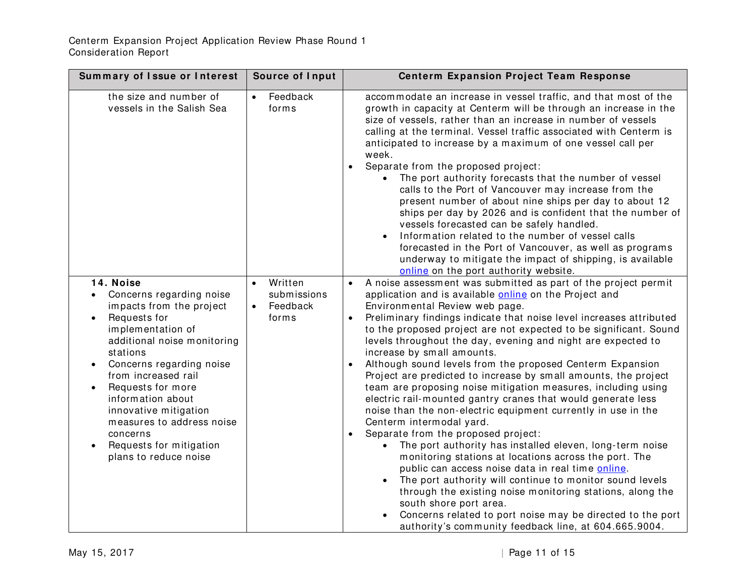| Summary of Issue or Interest                                                                                                                                                                                                                                                                                                                                                                                | Source of Input                                                       | <b>Centerm Expansion Project Team Response</b>                                                                                                                                                                                                                                                                                                                                                                                                                                                                                                                                                                                                                                                                                                                                                                                                                                                                                                                                                                                                                                                                                                                                                                                                                             |
|-------------------------------------------------------------------------------------------------------------------------------------------------------------------------------------------------------------------------------------------------------------------------------------------------------------------------------------------------------------------------------------------------------------|-----------------------------------------------------------------------|----------------------------------------------------------------------------------------------------------------------------------------------------------------------------------------------------------------------------------------------------------------------------------------------------------------------------------------------------------------------------------------------------------------------------------------------------------------------------------------------------------------------------------------------------------------------------------------------------------------------------------------------------------------------------------------------------------------------------------------------------------------------------------------------------------------------------------------------------------------------------------------------------------------------------------------------------------------------------------------------------------------------------------------------------------------------------------------------------------------------------------------------------------------------------------------------------------------------------------------------------------------------------|
| the size and number of<br>vessels in the Salish Sea                                                                                                                                                                                                                                                                                                                                                         | Feedback<br>$\bullet$<br>forms                                        | accommodate an increase in vessel traffic, and that most of the<br>growth in capacity at Centerm will be through an increase in the<br>size of vessels, rather than an increase in number of vessels<br>calling at the terminal. Vessel traffic associated with Centerm is<br>anticipated to increase by a maximum of one vessel call per<br>week.<br>Separate from the proposed project:<br>$\bullet$<br>The port authority forecasts that the number of vessel<br>calls to the Port of Vancouver may increase from the<br>present number of about nine ships per day to about 12<br>ships per day by 2026 and is confident that the number of<br>vessels forecasted can be safely handled.<br>Information related to the number of vessel calls<br>forecasted in the Port of Vancouver, as well as programs<br>underway to mitigate the impact of shipping, is available<br>online on the port authority website.                                                                                                                                                                                                                                                                                                                                                        |
| 14. Noise<br>Concerns regarding noise<br>impacts from the project<br>Requests for<br>$\bullet$<br>implementation of<br>additional noise monitoring<br>stations<br>Concerns regarding noise<br>$\bullet$<br>from increased rail<br>Requests for more<br>$\bullet$<br>information about<br>innovative mitigation<br>measures to address noise<br>concerns<br>Requests for mitigation<br>plans to reduce noise | Written<br>$\bullet$<br>submissions<br>Feedback<br>$\bullet$<br>forms | A noise assessment was submitted as part of the project permit<br>$\bullet$<br>application and is available online on the Project and<br>Environmental Review web page.<br>Preliminary findings indicate that noise level increases attributed<br>to the proposed project are not expected to be significant. Sound<br>levels throughout the day, evening and night are expected to<br>increase by small amounts.<br>Although sound levels from the proposed Centerm Expansion<br>Project are predicted to increase by small amounts, the project<br>team are proposing noise mitigation measures, including using<br>electric rail-mounted gantry cranes that would generate less<br>noise than the non-electric equipment currently in use in the<br>Centerm intermodal yard.<br>Separate from the proposed project:<br>The port authority has installed eleven, long-term noise<br>monitoring stations at locations across the port. The<br>public can access noise data in real time online.<br>The port authority will continue to monitor sound levels<br>through the existing noise monitoring stations, along the<br>south shore port area.<br>Concerns related to port noise may be directed to the port<br>authority's community feedback line, at 604.665.9004. |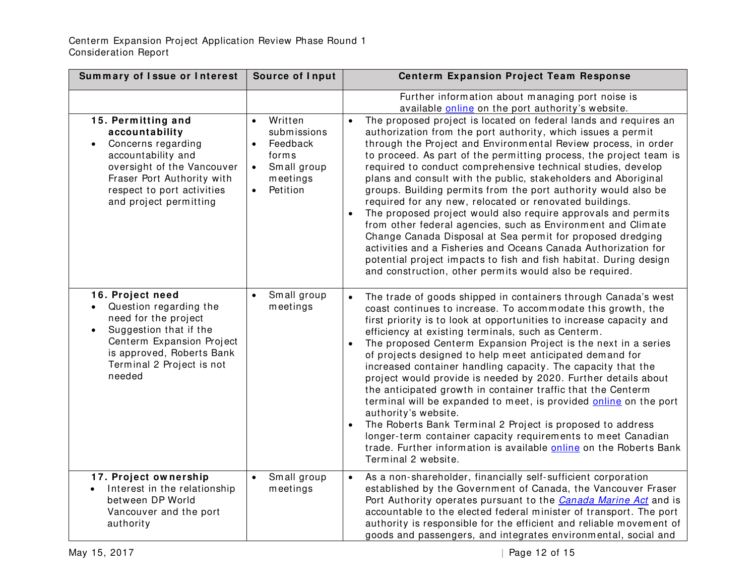| Summary of Issue or Interest                                                                                                                                                                                            | <b>Source of Input</b>                                                                                       | <b>Centerm Expansion Project Team Response</b>                                                                                                                                                                                                                                                                                                                                                                                                                                                                                                                                                                                                                                                                                                                                                                                                                                                                                                |
|-------------------------------------------------------------------------------------------------------------------------------------------------------------------------------------------------------------------------|--------------------------------------------------------------------------------------------------------------|-----------------------------------------------------------------------------------------------------------------------------------------------------------------------------------------------------------------------------------------------------------------------------------------------------------------------------------------------------------------------------------------------------------------------------------------------------------------------------------------------------------------------------------------------------------------------------------------------------------------------------------------------------------------------------------------------------------------------------------------------------------------------------------------------------------------------------------------------------------------------------------------------------------------------------------------------|
|                                                                                                                                                                                                                         |                                                                                                              | Further information about managing port noise is<br>available online on the port authority's website.                                                                                                                                                                                                                                                                                                                                                                                                                                                                                                                                                                                                                                                                                                                                                                                                                                         |
| 15. Permitting and<br>accountability<br>Concerns regarding<br>accountability and<br>oversight of the Vancouver<br>Fraser Port Authority with<br>respect to port activities<br>and project permitting                    | Written<br>$\bullet$<br>submissions<br>Feedback<br>forms<br>Small group<br>$\bullet$<br>meetings<br>Petition | The proposed project is located on federal lands and requires an<br>authorization from the port authority, which issues a permit<br>through the Project and Environmental Review process, in order<br>to proceed. As part of the permitting process, the project team is<br>required to conduct comprehensive technical studies, develop<br>plans and consult with the public, stakeholders and Aboriginal<br>groups. Building permits from the port authority would also be<br>required for any new, relocated or renovated buildings.<br>The proposed project would also require approvals and permits<br>from other federal agencies, such as Environment and Climate<br>Change Canada Disposal at Sea permit for proposed dredging<br>activities and a Fisheries and Oceans Canada Authorization for<br>potential project impacts to fish and fish habitat. During design<br>and construction, other permits would also be required.      |
| 16. Project need<br>Question regarding the<br>$\bullet$<br>need for the project<br>Suggestion that if the<br>$\bullet$<br>Centerm Expansion Project<br>is approved, Roberts Bank<br>Terminal 2 Project is not<br>needed | Small group<br>$\bullet$<br>meetings                                                                         | The trade of goods shipped in containers through Canada's west<br>coast continues to increase. To accommodate this growth, the<br>first priority is to look at opportunities to increase capacity and<br>efficiency at existing terminals, such as Centerm.<br>The proposed Centerm Expansion Project is the next in a series<br>$\bullet$<br>of projects designed to help meet anticipated demand for<br>increased container handling capacity. The capacity that the<br>project would provide is needed by 2020. Further details about<br>the anticipated growth in container traffic that the Centerm<br>terminal will be expanded to meet, is provided online on the port<br>authority's website.<br>The Roberts Bank Terminal 2 Project is proposed to address<br>$\bullet$<br>longer-term container capacity requirements to meet Canadian<br>trade. Further information is available online on the Roberts Bank<br>Terminal 2 website. |
| 17. Project ownership<br>Interest in the relationship<br>between DP World<br>Vancouver and the port<br>authority                                                                                                        | Small group<br>$\bullet$<br>meetings                                                                         | As a non-shareholder, financially self-sufficient corporation<br>$\bullet$<br>established by the Government of Canada, the Vancouver Fraser<br>Port Authority operates pursuant to the Canada Marine Act and is<br>accountable to the elected federal minister of transport. The port<br>authority is responsible for the efficient and reliable movement of<br>goods and passengers, and integrates environmental, social and                                                                                                                                                                                                                                                                                                                                                                                                                                                                                                                |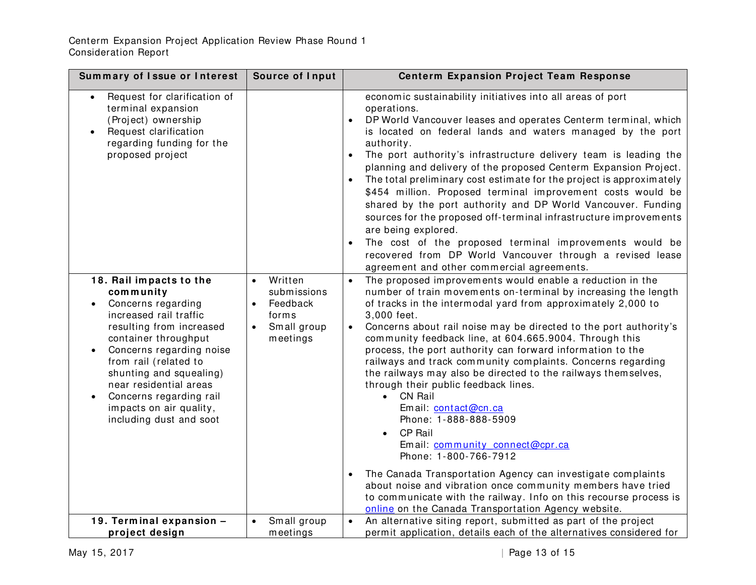| Summary of Issue or Interest                                                                                                                                                                                                                                                                                                                                  | Source of Input                                                                                  | <b>Centerm Expansion Project Team Response</b>                                                                                                                                                                                                                                                                                                                                                                                                                                                                                                                                                                                                                                                                                                                                                                                                                                                                                                                                                                       |
|---------------------------------------------------------------------------------------------------------------------------------------------------------------------------------------------------------------------------------------------------------------------------------------------------------------------------------------------------------------|--------------------------------------------------------------------------------------------------|----------------------------------------------------------------------------------------------------------------------------------------------------------------------------------------------------------------------------------------------------------------------------------------------------------------------------------------------------------------------------------------------------------------------------------------------------------------------------------------------------------------------------------------------------------------------------------------------------------------------------------------------------------------------------------------------------------------------------------------------------------------------------------------------------------------------------------------------------------------------------------------------------------------------------------------------------------------------------------------------------------------------|
| Request for clarification of<br>terminal expansion<br>(Project) ownership<br>Request clarification<br>regarding funding for the<br>proposed project                                                                                                                                                                                                           |                                                                                                  | economic sustainability initiatives into all areas of port<br>operations.<br>DP World Vancouver leases and operates Centerm terminal, which<br>is located on federal lands and waters managed by the port<br>authority.<br>The port authority's infrastructure delivery team is leading the<br>planning and delivery of the proposed Centerm Expansion Project.<br>The total preliminary cost estimate for the project is approximately<br>\$454 million. Proposed terminal improvement costs would be<br>shared by the port authority and DP World Vancouver. Funding<br>sources for the proposed off-terminal infrastructure improvements<br>are being explored.<br>The cost of the proposed terminal improvements would be<br>recovered from DP World Vancouver through a revised lease<br>agreement and other commercial agreements.                                                                                                                                                                             |
| 18. Rail impacts to the<br>community<br>Concerns regarding<br>$\bullet$<br>increased rail traffic<br>resulting from increased<br>container throughput<br>Concerns regarding noise<br>$\bullet$<br>from rail (related to<br>shunting and squealing)<br>near residential areas<br>Concerns regarding rail<br>impacts on air quality,<br>including dust and soot | Written<br>$\bullet$<br>submissions<br>Feedback<br>$\bullet$<br>forms<br>Small group<br>meetings | The proposed improvements would enable a reduction in the<br>$\bullet$<br>number of train movements on-terminal by increasing the length<br>of tracks in the intermodal yard from approximately 2,000 to<br>3,000 feet.<br>Concerns about rail noise may be directed to the port authority's<br>community feedback line, at 604.665.9004. Through this<br>process, the port authority can forward information to the<br>railways and track community complaints. Concerns regarding<br>the railways may also be directed to the railways themselves,<br>through their public feedback lines.<br><b>CN Rail</b><br>$\bullet$<br>Email: contact@cn.ca<br>Phone: 1-888-888-5909<br><b>CP Rail</b><br>Email: community connect@cpr.ca<br>Phone: 1-800-766-7912<br>The Canada Transportation Agency can investigate complaints<br>about noise and vibration once community members have tried<br>to communicate with the railway. Info on this recourse process is<br>online on the Canada Transportation Agency website. |
| 19. Terminal expansion -<br>project design                                                                                                                                                                                                                                                                                                                    | Small group<br>$\bullet$<br>meetings                                                             | An alternative siting report, submitted as part of the project<br>permit application, details each of the alternatives considered for                                                                                                                                                                                                                                                                                                                                                                                                                                                                                                                                                                                                                                                                                                                                                                                                                                                                                |
|                                                                                                                                                                                                                                                                                                                                                               |                                                                                                  |                                                                                                                                                                                                                                                                                                                                                                                                                                                                                                                                                                                                                                                                                                                                                                                                                                                                                                                                                                                                                      |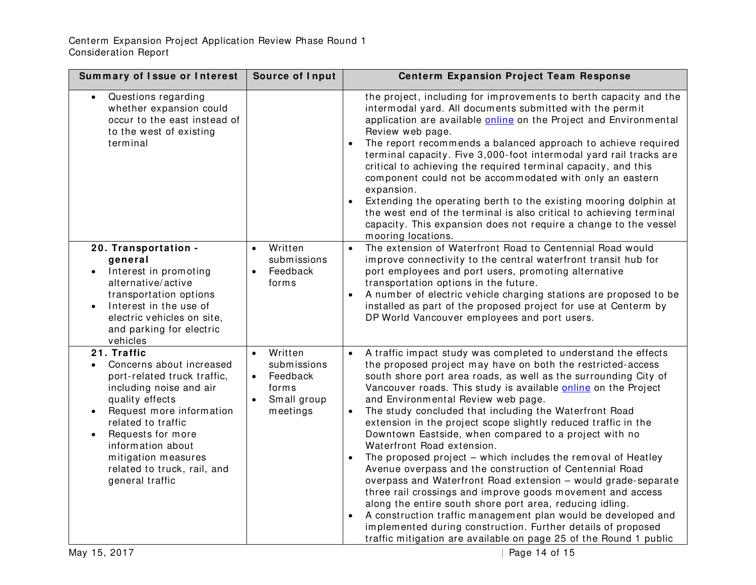| Summary of Issue or Interest                                                                                                                                                                                                                                                                                        | Source of Input                                                                     | <b>Centerm Expansion Project Team Response</b>                                                                                                                                                                                                                                                                                                                                                                                                                                                                                                                                                                                                                                                                                                                                                                                                                                                                                                                                                                                                                       |
|---------------------------------------------------------------------------------------------------------------------------------------------------------------------------------------------------------------------------------------------------------------------------------------------------------------------|-------------------------------------------------------------------------------------|----------------------------------------------------------------------------------------------------------------------------------------------------------------------------------------------------------------------------------------------------------------------------------------------------------------------------------------------------------------------------------------------------------------------------------------------------------------------------------------------------------------------------------------------------------------------------------------------------------------------------------------------------------------------------------------------------------------------------------------------------------------------------------------------------------------------------------------------------------------------------------------------------------------------------------------------------------------------------------------------------------------------------------------------------------------------|
| Questions regarding<br>whether expansion could<br>occur to the east instead of<br>to the west of existing<br>terminal                                                                                                                                                                                               |                                                                                     | the project, including for improvements to berth capacity and the<br>intermodal yard. All documents submitted with the permit<br>application are available online on the Project and Environmental<br>Review web page.<br>The report recommends a balanced approach to achieve required<br>terminal capacity. Five 3,000-foot intermodal yard rail tracks are<br>critical to achieving the required terminal capacity, and this<br>component could not be accommodated with only an eastern<br>expansion.<br>Extending the operating berth to the existing mooring dolphin at<br>the west end of the terminal is also critical to achieving terminal<br>capacity. This expansion does not require a change to the vessel<br>mooring locations.                                                                                                                                                                                                                                                                                                                       |
| 20. Transportation -<br>general<br>Interest in promoting<br>alternative/active<br>transportation options<br>Interest in the use of<br>electric vehicles on site,<br>and parking for electric<br>vehicles                                                                                                            | Written<br>$\bullet$<br>submissions<br>Feedback<br>$\bullet$<br>forms               | The extension of Waterfront Road to Centennial Road would<br>$\bullet$<br>improve connectivity to the central waterfront transit hub for<br>port employees and port users, promoting alternative<br>transportation options in the future.<br>A number of electric vehicle charging stations are proposed to be<br>installed as part of the proposed project for use at Centerm by<br>DP World Vancouver employees and port users.                                                                                                                                                                                                                                                                                                                                                                                                                                                                                                                                                                                                                                    |
| 21. Traffic<br>Concerns about increased<br>$\bullet$<br>port-related truck traffic,<br>including noise and air<br>quality effects<br>Request more information<br>$\bullet$<br>related to traffic<br>Requests for more<br>information about<br>mitigation measures<br>related to truck, rail, and<br>general traffic | Written<br>submissions<br>Feedback<br>$\bullet$<br>forms<br>Small group<br>meetings | A traffic impact study was completed to understand the effects<br>$\bullet$<br>the proposed project may have on both the restricted-access<br>south shore port area roads, as well as the surrounding City of<br>Vancouver roads. This study is available online on the Project<br>and Environmental Review web page.<br>The study concluded that including the Waterfront Road<br>extension in the project scope slightly reduced traffic in the<br>Downtown Eastside, when compared to a project with no<br>Waterfront Road extension.<br>The proposed project - which includes the removal of Heatley<br>Avenue overpass and the construction of Centennial Road<br>overpass and Waterfront Road extension - would grade-separate<br>three rail crossings and improve goods movement and access<br>along the entire south shore port area, reducing idling.<br>A construction traffic management plan would be developed and<br>implemented during construction. Further details of proposed<br>traffic mitigation are available on page 25 of the Round 1 public |